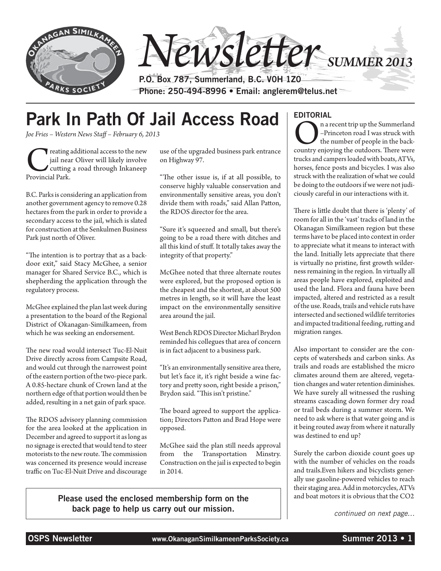

# Park In Path Of Jail Access Road

*Joe Fries – Western News Staff – February 6, 2013*

reating additional access to the new jail near Oliver will likely involve cutting a road through Inkaneep Provincial Park. jail near Oliver will likely involve cutting a road through Inkaneep Provincial Park.

B.C. Parks is considering an application from another government agency to remove 0.28 hectares from the park in order to provide a secondary access to the jail, which is slated for construction at the Senkulmen Business Park just north of Oliver.

"The intention is to portray that as a backdoor exit," said Stacy McGhee, a senior manager for Shared Service B.C., which is shepherding the application through the regulatory process.

McGhee explained the plan last week during a presentation to the board of the Regional District of Okanagan-Similkameen, from which he was seeking an endorsement.

The new road would intersect Tuc-El-Nuit Drive directly across from Campsite Road, and would cut through the narrowest point of the eastern portion of the two-piece park. A 0.85-hectare chunk of Crown land at the northern edge of that portion would then be added, resulting in a net gain of park space.

The RDOS advisory planning commission for the area looked at the application in December and agreed to support it as long as no signage is erected that would tend to steer motorists to the new route. The commission was concerned its presence would increase traffic on Tuc-El-Nuit Drive and discourage use of the upgraded business park entrance on Highway 97.

"The other issue is, if at all possible, to conserve highly valuable conservation and environmentally sensitive areas, you don't divide them with roads," said Allan Patton, the RDOS director for the area.

"Sure it's squeezed and small, but there's going to be a road there with ditches and all this kind of stuff. It totally takes away the integrity of that property."

McGhee noted that three alternate routes were explored, but the proposed option is the cheapest and the shortest, at about 500 metres in length, so it will have the least impact on the environmentally sensitive area around the jail.

West Bench RDOS Director Micharl Brydon reminded his collegues that area of concern is in fact adjacent to a business park.

"It's an environmentally sensitive area there, but let's face it, it's right beside a wine factory and pretty soon, right beside a prison," Brydon said. "This isn't pristine."

The board agreed to support the application; Directors Patton and Brad Hope were opposed.

McGhee said the plan still needs approval from the Transportation Minstry. Construction on the jail is expected to begin in 2014.

Please used the enclosed membership form on the back page to help us carry out our mission.

### EDITORIAL

**O**n a recent trip up the Summerland<br>-Princeton road I was struck with<br>the number of people in the back-<br>country enjoying the outdoors. There were –Princeton road I was struck with the number of people in the backtrucks and campers loaded with boats, ATVs, horses, fence posts and bicycles. I was also struck with the realization of what we could be doing to the outdoors if we were not judiciously careful in our interactions with it.

There is little doubt that there is 'plenty' of room for all in the 'vast' tracks of land in the Okanagan Similkameen region but these terms have to be placed into context in order to appreciate what it means to interact with the land. Initially lets appreciate that there is virtually no pristine, first growth wilderness remaining in the region. In virtually all areas people have explored, exploited and used the land. Flora and fauna have been impacted, altered and restricted as a result of the use. Roads, trails and vehicle ruts have intersected and sectioned wildlife territories and impacted traditional feeding, rutting and migration ranges.

Also important to consider are the concepts of watersheds and carbon sinks. As trails and roads are established the micro climates around them are altered, vegetation changes and water retention diminishes. We have surely all witnessed the rushing streams cascading down former dry road or trail beds during a summer storm. We need to ask where is that water going and is it being routed away from where it naturally was destined to end up?

Surely the carbon dioxide count goes up with the number of vehicles on the roads and trails.Even hikers and bicyclists generally use gasoline-powered vehicles to reach their staging area. Add in motorcycles, ATVs and boat motors it is obvious that the CO2

*continued on next page…*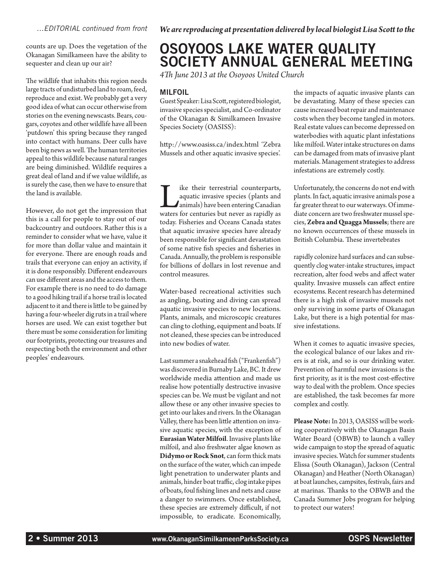counts are up. Does the vegetation of the Okanagan Similkameen have the ability to sequester and clean up our air?

The wildlife that inhabits this region needs large tracts of undisturbed land to roam, feed, reproduce and exist. We probably get a very good idea of what can occur otherwise from stories on the evening newscasts. Bears, cougars, coyotes and other wildlife have all been 'putdown' this spring because they ranged into contact with humans. Deer culls have been big news as well. The human territories appeal to this wildlife because natural ranges are being diminished. Wildlife requires a great deal of land and if we value wildlife, as is surely the case, then we have to ensure that the land is available.

However, do not get the impression that this is a call for people to stay out of our backcountry and outdoors. Rather this is a reminder to consider what we have, value it for more than dollar value and maintain it for everyone. There are enough roads and trails that everyone can enjoy an activity, if it is done responsibly. Different endeavours can use different areas and the access to them. For example there is no need to do damage to a good hiking trail if a horse trail is located adjacent to it and there is little to be gained by having a four-wheeler dig ruts in a trail where horses are used. We can exist together but there must be some consideration for limiting our footprints, protecting our treasures and respecting both the environment and other peoples' endeavours.

# OSOYOOS LAKE WATER QUALITY SOCIETY ANNUAL GENERAL MEETING

*4Th June 2013 at the Osoyoos United Church* 

### **MILFOIL**

Guest Speaker: Lisa Scott, registered biologist, invasive species specialist, and Co-ordinator of the Okanagan & Similkameen Invasive Species Society (OASISS):

http://www.oasiss.ca/index.html 'Zebra Mussels and other aquatic invasive species'.

Like their terrestrial counterparts, waters for centuries but never as rapidly as aquatic invasive species (plants and animals) have been entering Canadian today. Fisheries and Oceans Canada states that aquatic invasive species have already been responsible for significant devastation of some native fish species and fisheries in Canada. Annually, the problem is responsible for billions of dollars in lost revenue and control measures.

Water-based recreational activities such as angling, boating and diving can spread aquatic invasive species to new locations. Plants, animals, and microscopic creatures can cling to clothing, equipment and boats. If not cleaned, these species can be introduced into new bodies of water.

Last summer a snakehead fish ("Frankenfish") was discovered in Burnaby Lake, BC. It drew worldwide media attention and made us realise how potentially destructive invasive species can be. We must be vigilant and not allow these or any other invasive species to get into our lakes and rivers. In the Okanagan Valley, there has been little attention on invasive aquatic species, with the exception of **Eurasian Water Milfoil**. Invasive plants like milfoil, and also freshwater algae known as **Didymo or Rock Snot**, can form thick mats on the surface of the water, which can impede light penetration to underwater plants and animals, hinder boat traffic, clog intake pipes of boats, foul fishing lines and nets and cause a danger to swimmers. Once established, these species are extremely difficult, if not impossible, to eradicate. Economically, the impacts of aquatic invasive plants can be devastating. Many of these species can cause increased boat repair and maintenance costs when they become tangled in motors. Real estate values can become depressed on waterbodies with aquatic plant infestations like milfoil. Water intake structures on dams can be damaged from mats of invasive plant materials. Management strategies to address infestations are extremely costly.

Unfortunately, the concerns do not end with plants. In fact, aquatic invasive animals pose a far greater threat to our waterways. Of immediate concern are two freshwater mussel species, **Zebra and Quagga Mussels**; there are no known occurrences of these mussels in British Columbia. These invertebrates

rapidly colonize hard surfaces and can subsequently clog water-intake structures, impact recreation, alter food webs and affect water quality. Invasive mussels can affect entire ecosystems. Recent research has determined there is a high risk of invasive mussels not only surviving in some parts of Okanagan Lake, but there is a high potential for massive infestations.

When it comes to aquatic invasive species, the ecological balance of our lakes and rivers is at risk, and so is our drinking water. Prevention of harmful new invasions is the first priority, as it is the most cost-effective way to deal with the problem. Once species are established, the task becomes far more complex and costly.

**Please Note:** In 2013, OASISS will be working cooperatively with the Okanagan Basin Water Board (OBWB) to launch a valley wide campaign to stop the spread of aquatic invasive species. Watch for summer students Elissa (South Okanagan), Jackson (Central Okanagan) and Heather (North Okanagan) at boat launches, campsites, festivals, fairs and at marinas. Thanks to the OBWB and the Canada Summer Jobs program for helping to protect our waters!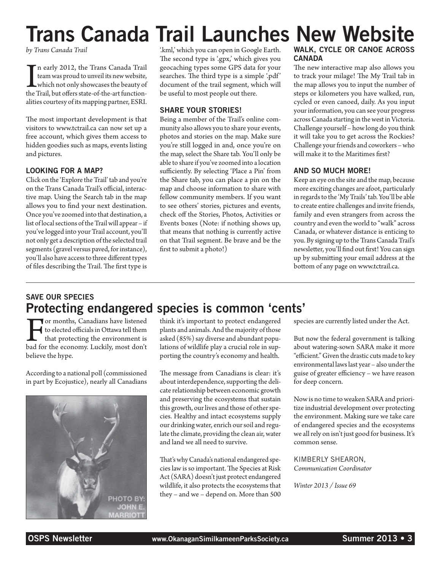# Trans Canada Trail Launches New Website

*by Trans Canada Trail*

In early 2012, the Trans Canada Trail<br>team was proud to unveil its new website,<br>which not only showcases the beauty of<br>the Trail, but offers state-of-the-art functionn early 2012, the Trans Canada Trail team was proud to unveil its new website, which not only showcases the beauty of alities courtesy of its mapping partner, ESRI.

The most important development is that visitors to www.tctrail.ca can now set up a free account, which gives them access to hidden goodies such as maps, events listing and pictures.

### LOOKING FOR A MAP?

Click on the 'Explore the Trail' tab and you're on the Trans Canada Trail's official, interactive map. Using the Search tab in the map allows you to find your next destination. Once you've zoomed into that destination, a list of local sections of the Trail will appear – if you've logged into your Trail account, you'll not only get a description of the selected trail segments (gravel versus paved, for instance), you'll also have access to three different types of files describing the Trail. The first type is

'.kml,' which you can open in Google Earth. The second type is '.gpx,' which gives you geocaching types some GPS data for your searches. The third type is a simple '.pdf' document of the trail segment, which will be useful to most people out there.

### SHARE YOUR STORIES!

Being a member of the Trail's online community also allows you to share your events, photos and stories on the map. Make sure you're still logged in and, once you're on the map, select the Share tab. You'll only be able to share if you've zoomed into a location sufficiently. By selecting 'Place a Pin' from the Share tab, you can place a pin on the map and choose information to share with fellow community members. If you want to see others' stories, pictures and events, check off the Stories, Photos, Activities or Events boxes (Note: if nothing shows up, that means that nothing is currently active on that Trail segment. Be brave and be the first to submit a photo!)

### WALK, CYCLE OR CANOE ACROSS CANADA

The new interactive map also allows you to track your milage! The My Trail tab in the map allows you to input the number of steps or kilometers you have walked, run, cycled or even canoed, daily. As you input your information, you can see your progress across Canada starting in the west in Victoria. Challenge yourself – how long do you think it will take you to get across the Rockies? Challenge your friends and coworkers – who will make it to the Maritimes first?

### AND SO MUCH MORE!

Keep an eye on the site and the map, because more exciting changes are afoot, particularly in regards to the 'My Trails' tab. You'll be able to create entire challenges and invite friends, family and even strangers from across the country and even the world to "walk" across Canada, or whatever distance is enticing to you. By signing up to the Trans Canada Trail's newsletter, you'll find out first! You can sign up by submitting your email address at the bottom of any page on www.tctrail.ca.

### SAVE OUR SPECIES Protecting endangered species is common 'cents'

For months, Canadians have listened to elected officials in Ottawa tell them that protecting the environment is bad for the economy. Luckily, most don't believe the hype.

According to a national poll (commissioned in part by Ecojustice), nearly all Canadians



think it's important to protect endangered plants and animals. And the majority of those asked (85%) say diverse and abundant populations of wildlife play a crucial role in supporting the country's economy and health.

The message from Canadians is clear: it's about interdependence, supporting the delicate relationship between economic growth and preserving the ecosystems that sustain this growth, our lives and those of other species. Healthy and intact ecosystems supply our drinking water, enrich our soil and regulate the climate, providing the clean air, water and land we all need to survive.

That's why Canada's national endangered species law is so important. The Species at Risk Act (SARA) doesn't just protect endangered wildlife, it also protects the ecosystems that they – and we – depend on. More than 500 species are currently listed under the Act.

But now the federal government is talking about watering-sown SARA make it more "efficient." Given the drastic cuts made to key environmental laws last year – also under the guise of greater efficiency – we have reason for deep concern.

Now is no time to weaken SARA and prioritize industrial development over protecting the environment. Making sure we take care of endangered species and the ecosystems we all rely on isn't just good for business. It's common sense.

Kimberly Shearon, *Communication Coordinator* 

*Winter 2013 / Issue 69*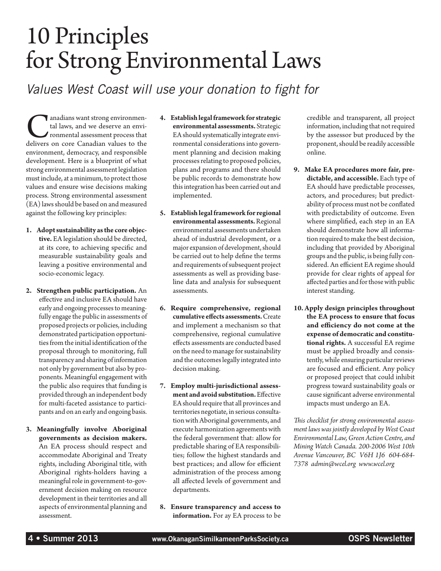# 10 Principles for Strong Environmental Laws

*Values West Coast will use your donation to fight for*

**Canadians want strong environmental assessment process that delivers on core Canadian values to the** tal laws, and we deserve an environmental assessment process that environment, democracy, and responsible development. Here is a blueprint of what strong environmental assessment legislation must include, at a minimum, to protect those values and ensure wise decisions making process. Strong environmental assessment (EA) laws should be based on and measured against the following key principles:

- **1. Adopt sustainability as the core objective.** EA legislation should be directed, at its core, to achieving specific and measurable sustainability goals and leaving a positive environmental and socio-economic legacy.
- **2. Strengthen public participation.** An effective and inclusive EA should have early and ongoing processes to meaningfully engage the public in assessments of proposed projects or policies, including demonstrated participation opportunities from the initial identification of the proposal through to monitoring, full transparency and sharing of information not only by government but also by proponents. Meaningful engagement with the public also requires that funding is provided through an independent body for multi-faceted assistance to participants and on an early and ongoing basis.
- **3. Meaningfully involve Aboriginal governments as decision makers.**  An EA process should respect and accommodate Aboriginal and Treaty rights, including Aboriginal title, with Aboriginal rights-holders having a meaningful role in government-to-government decision making on resource development in their territories and all aspects of environmental planning and assessment.
- **4. Establish legal framework for strategic environmental assessments.** Strategic EA should systematically integrate environmental considerations into government planning and decision making processes relating to proposed policies, plans and programs and there should be public records to demonstrate how this integration has been carried out and implemented.
- **5. Establish legal framework for regional environmental assessments.** Regional environmental assessments undertaken ahead of industrial development, or a major expansion of development, should be carried out to help define the terms and requirements of subsequent project assessments as well as providing baseline data and analysis for subsequent assessments.
- **6. Require comprehensive, regional cumulative effects assessments.** Create and implement a mechanism so that comprehensive, regional cumulative effects assessments are conducted based on the need to manage for sustainability and the outcomes legally integrated into decision making.
- **7. Employ multi-jurisdictional assessment and avoid substitution.** Effective EA should require that all provinces and territories negotiate, in serious consultation with Aboriginal governments, and execute harmonization agreements with the federal government that: allow for predictable sharing of EA responsibilities; follow the highest standards and best practices; and allow for efficient administration of the process among all affected levels of government and departments.
- **8. Ensure transparency and access to information.** For ay EA process to be

credible and transparent, all project information, including that not required by the assessor but produced by the proponent, should be readily accessible online.

- **9. Make EA procedures more fair, predictable, and accessible.** Each type of EA should have predictable processes, actors, and procedures; but predictability of process must not be conflated with predictability of outcome. Even where simplified, each step in an EA should demonstrate how all information required to make the best decision, including that provided by Aboriginal groups and the public, is being fully considered. An efficient EA regime should provide for clear rights of appeal for affected parties and for those with public interest standing.
- **10. Apply design principles throughout the EA process to ensure that focus and efficiency do not come at the expense of democratic and constitutional rights.** A successful EA regime must be applied broadly and consistently, while ensuring particular reviews are focused and efficient. Any policy or proposed project that could inhibit progress toward sustainability goals or cause significant adverse environmental impacts must undergo an EA.

*This checklist for strong environmental assessment laws was jointly developed by West Coast Environmental Law, Green Action Centre, and Mining Watch Canada. 200-2006 West 10th Avenue Vancouver, BC V6H 1J6 604-684- 7378 admin@wcel.org www.wcel.org*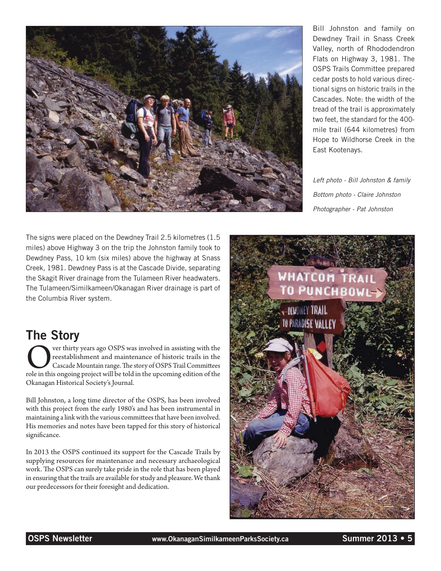

Bill Johnston and family on Dewdney Trail in Snass Creek Valley, north of Rhododendron Flats on Highway 3, 1981. The OSPS Trails Committee prepared cedar posts to hold various directional signs on historic trails in the Cascades. Note: the width of the tread of the trail is approximately two feet, the standard for the 400 mile trail (644 kilometres) from Hope to Wildhorse Creek in the East Kootenays.

*Left photo - Bill Johnston & family Bottom photo - Claire Johnston Photographer - Pat Johnston*

The signs were placed on the Dewdney Trail 2.5 kilometres (1.5 miles) above Highway 3 on the trip the Johnston family took to Dewdney Pass, 10 km (six miles) above the highway at Snass Creek, 1981. Dewdney Pass is at the Cascade Divide, separating the Skagit River drainage from the Tulameen River headwaters. The Tulameen/Similkameen/Okanagan River drainage is part of the Columbia River system.

# The Story

**Over thirty years ago OSPS was involved in assisting with the reestablishment and maintenance of historic trails in the Cascade Mountain range. The story of OSPS Trail Committees role in this ongoing project will be told** reestablishment and maintenance of historic trails in the Cascade Mountain range. The story of OSPS Trail Committees Okanagan Historical Society's Journal.

Bill Johnston, a long time director of the OSPS, has been involved with this project from the early 1980's and has been instrumental in maintaining a link with the various committees that have been involved. His memories and notes have been tapped for this story of historical significance.

In 2013 the OSPS continued its support for the Cascade Trails by supplying resources for maintenance and necessary archaeological work. The OSPS can surely take pride in the role that has been played in ensuring that the trails are available for study and pleasure. We thank our predecessors for their foresight and dedication.

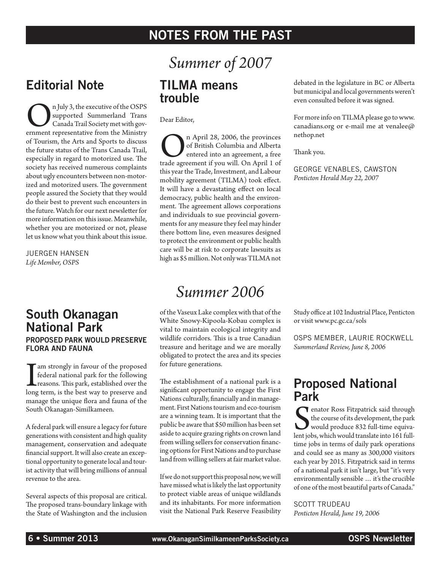## Notes from the Past

## Editorial Note

**On July 3, the executive of the OSPS** supported Summerland Trans Canada Trail Society met with government representative from the Ministry supported Summerland Trans Canada Trail Society met with govof Tourism, the Arts and Sports to discuss the future status of the Trans Canada Trail, especially in regard to motorized use. The society has received numerous complaints about ugly encounters between non-motorized and motorized users. The government people assured the Society that they would do their best to prevent such encounters in the future. Watch for our next newsletter for more information on this issue. Meanwhile, whether you are motorized or not, please let us know what you think about this issue.

Juergen Hansen *Life Member, OSPS*

### South Okanagan National Park Proposed park would preserve flora and fauna

I am strongly in favour of the proposed<br>federal national park for the following<br>reasons. This park, established over the<br>long term, is the best way to preserve and federal national park for the following reasons. This park, established over the manage the unique flora and fauna of the South Okanagan-Similkameen.

A federal park will ensure a legacy for future generations with consistent and high quality management, conservation and adequate financial support. It will also create an exceptional opportunity to generate local and tourist activity that will bring millions of annual revenue to the area.

Several aspects of this proposal are critical. The proposed trans-boundary linkage with the State of Washington and the inclusion

# *Summer of 2007*

### TILMA means trouble

Dear Editor,

On April 28, 2006, the provinces trade agreement if you will. On April 1 of of British Columbia and Alberta entered into an agreement, a free this year the Trade, Investment, and Labour mobility agreement (TILMA) took effect. It will have a devastating effect on local democracy, public health and the environment. The agreement allows corporations and individuals to sue provincial governments for any measure they feel may hinder there bottom line, even measures designed to protect the environment or public health care will be at risk to corporate lawsuits as high as \$5 million. Not only was TILMA not

# *Summer 2006*

of the Vaseux Lake complex with that of the White Snowy-Kipoola-Kobau complex is vital to maintain ecological integrity and wildlife corridors. This is a true Canadian treasure and heritage and we are morally obligated to protect the area and its species for future generations.

The establishment of a national park is a significant opportunity to engage the First Nations culturally, financially and in management. First Nations tourism and eco-tourism are a winning team. It is important that the public be aware that \$50 million has been set aside to acquire grazing rights on crown land from willing sellers for conservation financing options for First Nations and to purchase land from willing sellers at fair market value.

If we do not support this proposal now, we will have missed what is likely the last opportunity to protect viable areas of unique wildlands and its inhabitants. For more information visit the National Park Reserve Feasibility debated in the legislature in BC or Alberta but municipal and local governments weren't even consulted before it was signed.

For more info on TILMA please go to www. canadians.org or e-mail me at venalee@ nethop.net

Thank you.

George Venables, Cawston *Penticton Herald May 22, 2007*

Study office at 102 Industrial Place, Penticton or visit www.pc.gc.ca/sols

OSPS Member, Laurie Rockwell *Summerland Review, June 8, 2006*

## Proposed National Park

S<sub>lent jo</sub> enator Ross Fitzpatrick said through the course of its development, the park would produce 832 full-time equivalent jobs, which would translate into 161 fulltime jobs in terms of daily park operations and could see as many as 300,000 visitors each year by 2015. Fitzpatrick said in terms of a national park it isn't large, but "it's very environmentally sensible … it's the crucible of one of the most beautiful parts of Canada."

SCOTT TRUDEAU *Penticton Herald, June 19, 2006*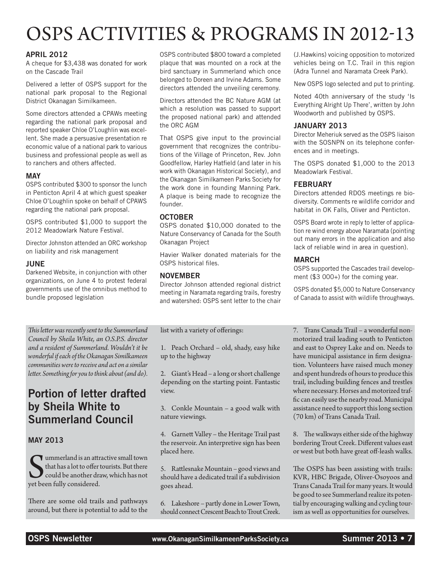# OSPS ACTIVITIES & PROGRAMS IN 2012-13

### **APRIL 2012**

A cheque for \$3,438 was donated for work on the Cascade Trail

Delivered a letter of OSPS support for the national park proposal to the Regional District Okanagan Similkameen.

Some directors attended a CPAWs meeting regarding the national park proposal and reported speaker Chloe O'Loughlin was excellent. She made a persuasive presentation re economic value of a national park to various business and professional people as well as to ranchers and others affected.

#### **MAY**

OSPS contributed \$300 to sponsor the lunch in Penticton April 4 at which guest speaker Chloe O'Loughlin spoke on behalf of CPAWS regarding the national park proposal.

OSPS contributed \$1,000 to support the 2012 Meadowlark Nature Festival.

Director Johnston attended an ORC workshop on liability and risk management

#### **JUNE**

Darkened Website, in conjunction with other organizations, on June 4 to protest federal governments use of the omnibus method to bundle proposed legislation

*This letter was recently sent to the Summerland Council by Sheila White, an O.S.P.S. director and a resident of Summerland. Wouldn't it be wonderful if each of the Okanagan Similkameen communities were to receive and act on a similar letter. Something for you to think about (and do).*

### Portion of letter drafted by Sheila White to Summerland Council

### May 2013

**S** ummerland is an attitude that has a lot to offer could be another dr. **T** ummerland is an attractive small town that has a lot to offer tourists. But there could be another draw, which has not

There are some old trails and pathways around, but there is potential to add to the OSPS contributed \$800 toward a completed plaque that was mounted on a rock at the bird sanctuary in Summerland which once belonged to Doreen and Irvine Adams. Some directors attended the unveiling ceremony.

Directors attended the BC Nature AGM (at which a resolution was passed to support the proposed national park) and attended the ORC AGM

That OSPS give input to the provincial government that recognizes the contributions of the Village of Princeton, Rev. John Goodfellow, Harley Hatfield (and later in his work with Okanagan Historical Society), and the Okanagan Similkameen Parks Society for the work done in founding Manning Park. A plaque is being made to recognize the founder.

### **OCTOBER**

OSPS donated \$10,000 donated to the Nature Conservancy of Canada for the South Okanagan Project

Havier Walker donated materials for the OSPS historical files.

#### **NOVEMBER**

Director Johnson attended regional district meeting in Naramata regarding trails, forestry and watershed: OSPS sent letter to the chair (J.Hawkins) voicing opposition to motorized vehicles being on T.C. Trail in this region (Adra Tunnel and Naramata Creek Park).

New OSPS logo selected and put to printing.

Noted 40th anniversary of the study 'Is Everything Alright Up There', written by John Woodworth and published by OSPS.

#### January 2013

Director Meheriuk served as the OSPS liaison with the SOSNPN on its telephone conferences and in meetings.

The OSPS donated \$1,000 to the 2013 Meadowlark Festival.

#### **FEBRUARY**

Directors attended RDOS meetings re biodiversity. Comments re wildlife corridor and habitat in OK Falls, Oliver and Penticton.

OSPS Board wrote in reply to letter of application re wind energy above Naramata (pointing out many errors in the application and also lack of reliable wind in area in question).

#### **MARCH**

OSPS supported the Cascades trail development (\$3 000+) for the coming year.

OSPS donated \$5,000 to Nature Conservancy of Canada to assist with wildlife throughways.

list with a variety of offerings:

1. Peach Orchard – old, shady, easy hike up to the highway

2. Giant's Head – a long or short challenge depending on the starting point. Fantastic view.

3. Conkle Mountain – a good walk with nature viewings.

4. Garnett Valley – the Heritage Trail past the reservoir. An interpretive sign has been placed here.

5. Rattlesnake Mountain – good views and should have a dedicated trail if a subdivision goes ahead.

6. Lakeshore – partly done in Lower Town, should connect Crescent Beach to Trout Creek.

7. Trans Canada Trail – a wonderful nonmotorized trail leading south to Penticton and east to Osprey Lake and on. Needs to have municipal assistance in firm designation. Volunteers have raised much money and spent hundreds of hours to produce this trail, including building fences and trestles where necessary. Horses and motorized traffic can easily use the nearby road. Municipal assistance need to support this long section (70 km) of Trans Canada Trail.

8. The walkways either side of the highway bordering Trout Creek. Different values east or west but both have great off-leash walks.

The OSPS has been assisting with trails: KVR, HBC Brigade, Oliver-Osoyoos and Trans Canada Trail for many years. It would be good to see Summerland realize its potential by encouraging walking and cycling tourism as well as opportunities for ourselves.